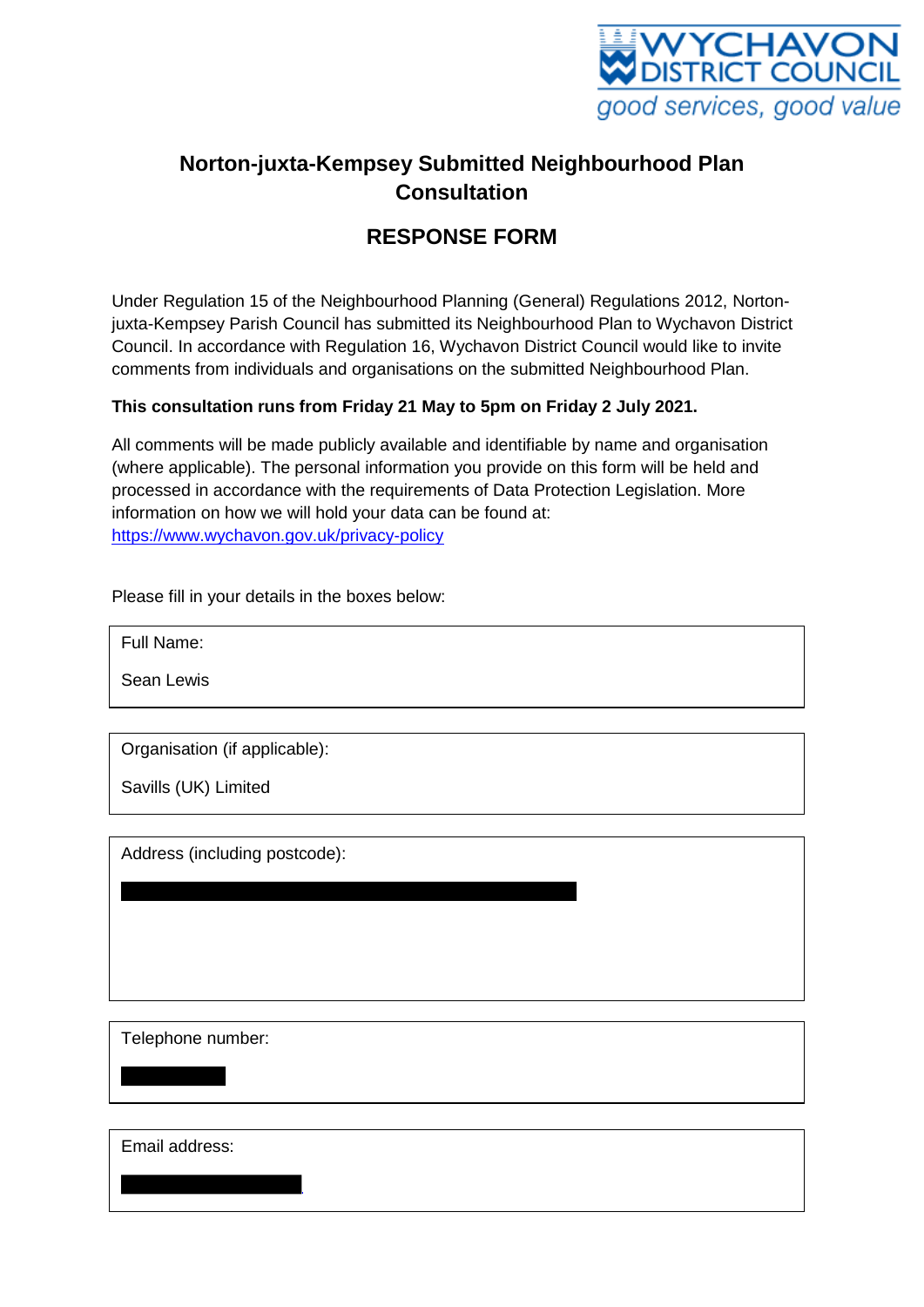

# **Norton-juxta-Kempsey Submitted Neighbourhood Plan Consultation**

# **RESPONSE FORM**

Under Regulation 15 of the Neighbourhood Planning (General) Regulations 2012, Nortonjuxta-Kempsey Parish Council has submitted its Neighbourhood Plan to Wychavon District Council. In accordance with Regulation 16, Wychavon District Council would like to invite comments from individuals and organisations on the submitted Neighbourhood Plan.

## **This consultation runs from Friday 21 May to 5pm on Friday 2 July 2021.**

All comments will be made publicly available and identifiable by name and organisation (where applicable). The personal information you provide on this form will be held and processed in accordance with the requirements of Data Protection Legislation. More information on how we will hold your data can be found at: <https://www.wychavon.gov.uk/privacy-policy>

Please fill in your details in the boxes below:

Full Name:

Sean Lewis

Organisation (if applicable):

Savills (UK) Limited

Address (including postcode):

Telephone number:

Email address: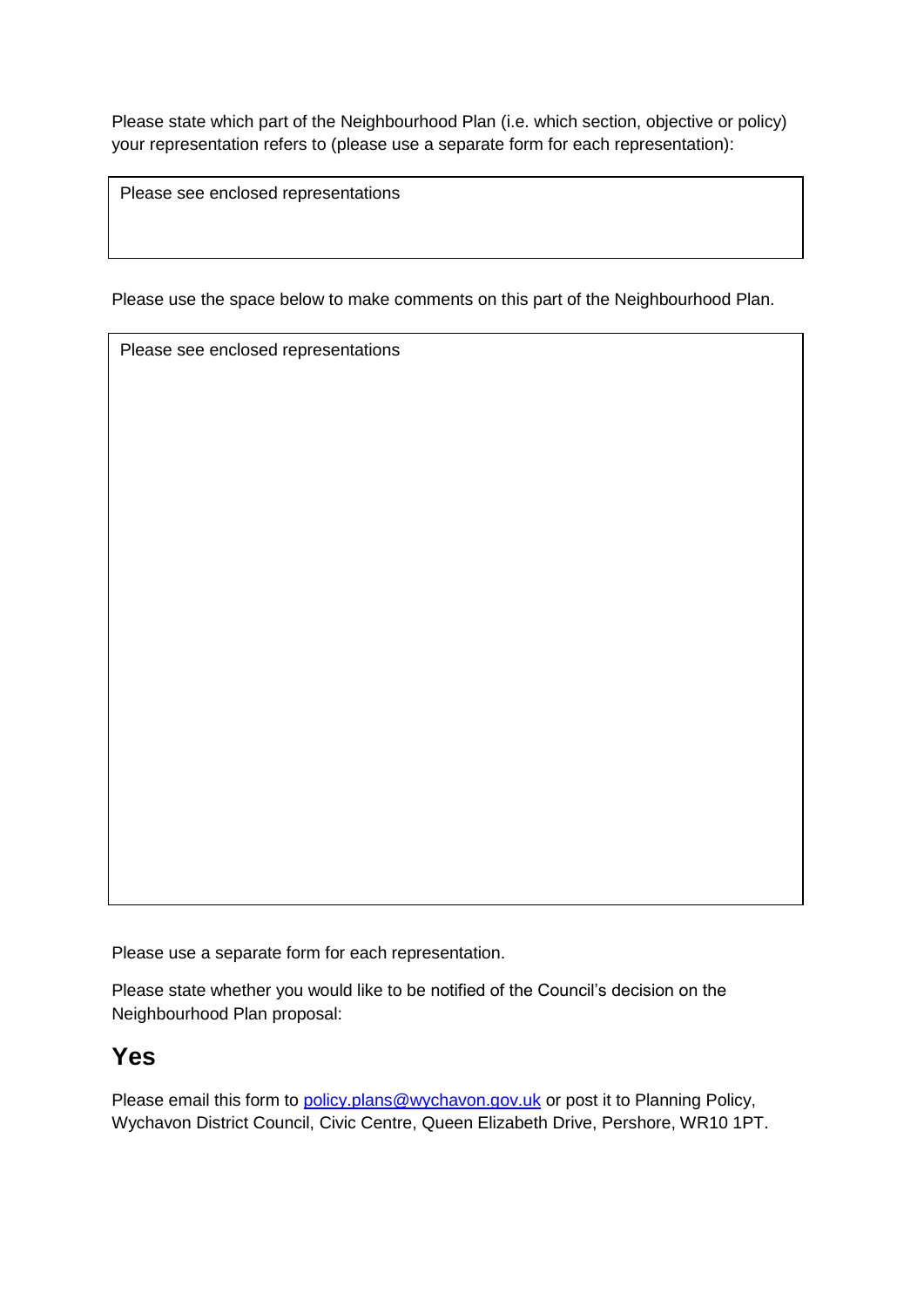Please state which part of the Neighbourhood Plan (i.e. which section, objective or policy) your representation refers to (please use a separate form for each representation):

Please see enclosed representations

Please use the space below to make comments on this part of the Neighbourhood Plan.

Please see enclosed representations

Please use a separate form for each representation.

Please state whether you would like to be notified of the Council's decision on the Neighbourhood Plan proposal:

# **Yes**

Please email this form to [policy.plans@wychavon.gov.uk](mailto:policy.plans@wychavon.gov.uk) or post it to Planning Policy, Wychavon District Council, Civic Centre, Queen Elizabeth Drive, Pershore, WR10 1PT.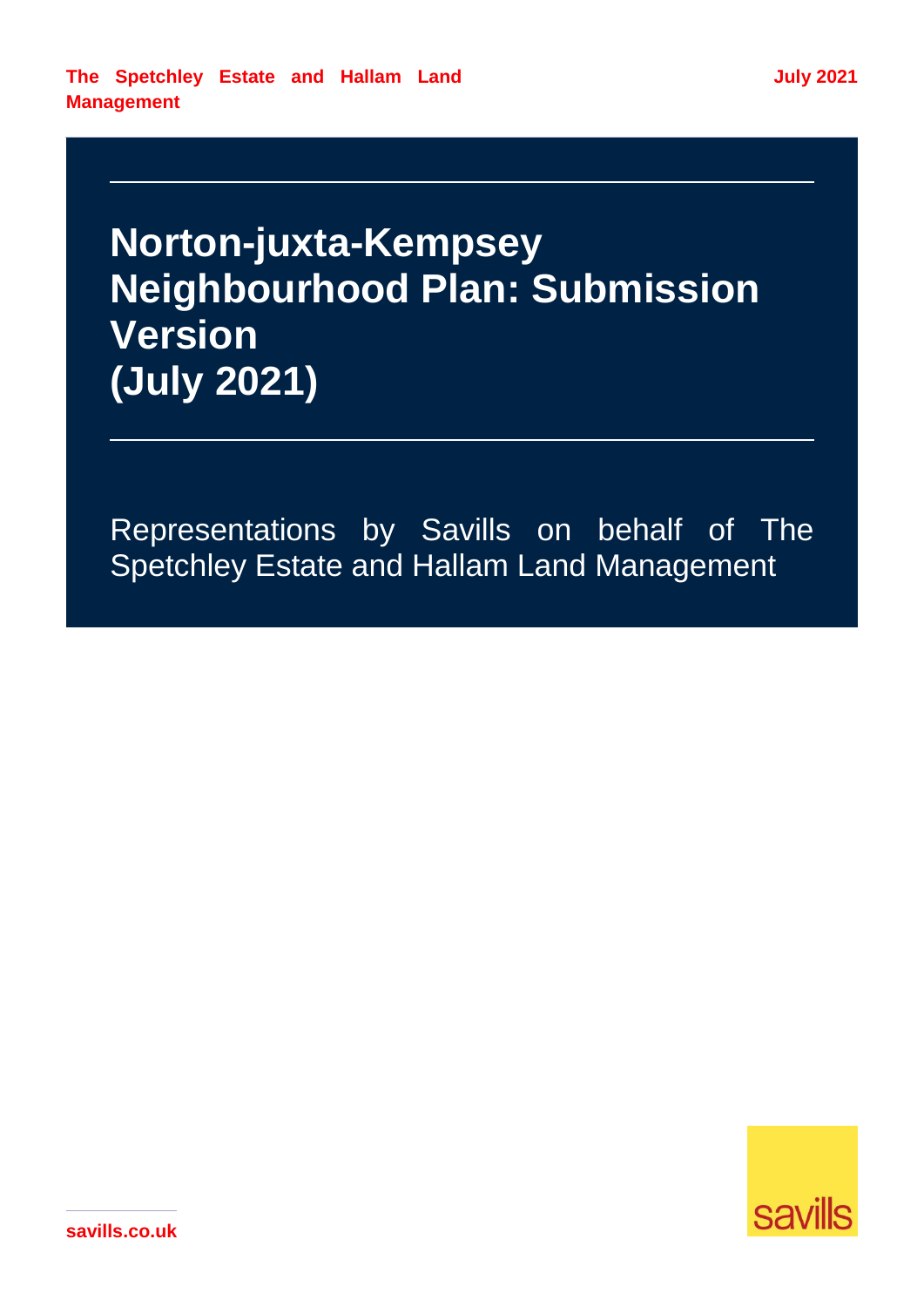# **Norton-juxta-Kempsey Neighbourhood Plan: Submission Version (July 2021)**

Representations by Savills on behalf of The Spetchley Estate and Hallam Land Management

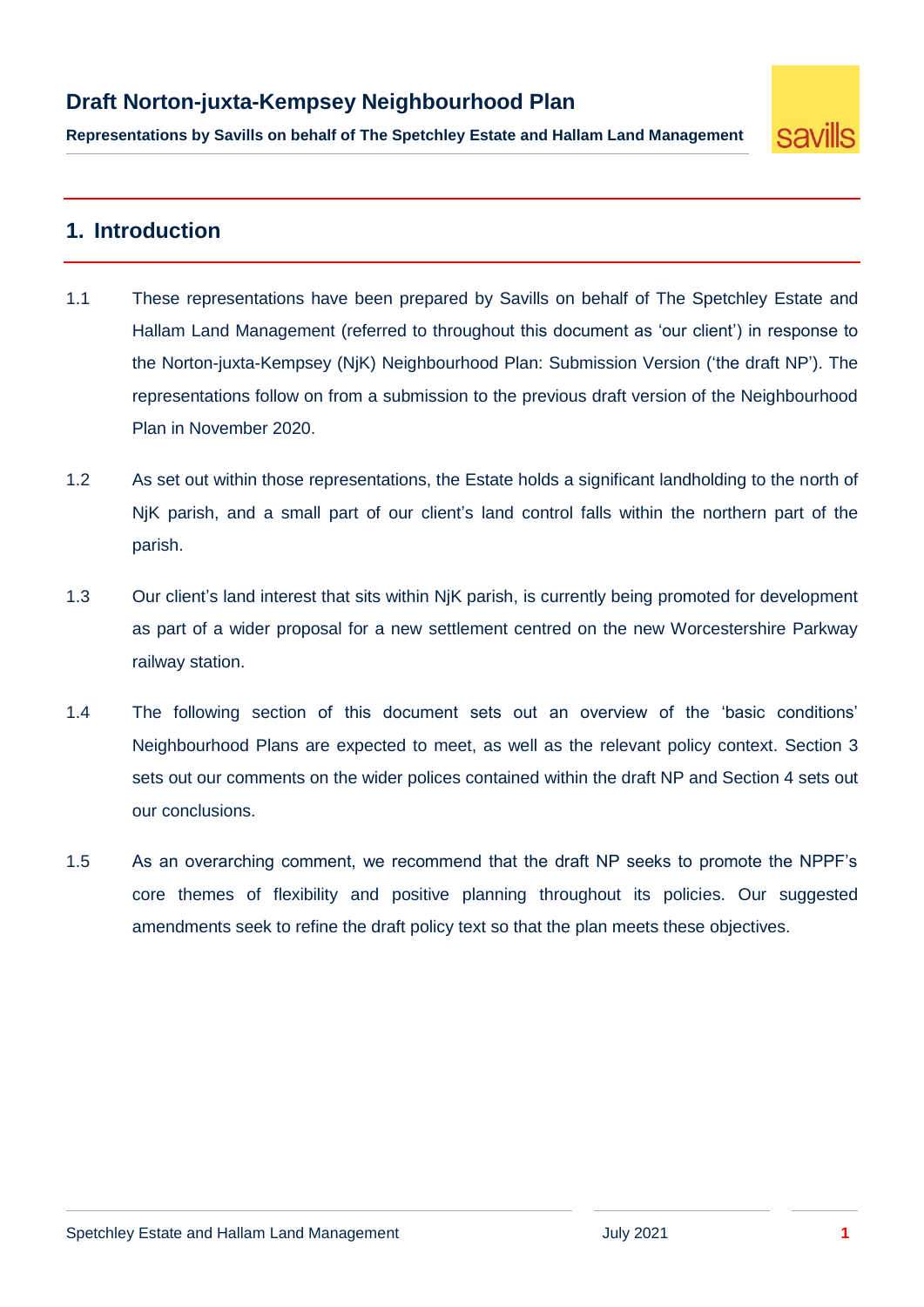**SAVILS** 

**Representations by Savills on behalf of The Spetchley Estate and Hallam Land Management**

## **1. Introduction**

- 1.1 These representations have been prepared by Savills on behalf of The Spetchley Estate and Hallam Land Management (referred to throughout this document as 'our client') in response to the Norton-juxta-Kempsey (NjK) Neighbourhood Plan: Submission Version ('the draft NP'). The representations follow on from a submission to the previous draft version of the Neighbourhood Plan in November 2020.
- 1.2 As set out within those representations, the Estate holds a significant landholding to the north of NjK parish, and a small part of our client's land control falls within the northern part of the parish.
- 1.3 Our client's land interest that sits within NjK parish, is currently being promoted for development as part of a wider proposal for a new settlement centred on the new Worcestershire Parkway railway station.
- 1.4 The following section of this document sets out an overview of the 'basic conditions' Neighbourhood Plans are expected to meet, as well as the relevant policy context. Section 3 sets out our comments on the wider polices contained within the draft NP and Section 4 sets out our conclusions.
- 1.5 As an overarching comment, we recommend that the draft NP seeks to promote the NPPF's core themes of flexibility and positive planning throughout its policies. Our suggested amendments seek to refine the draft policy text so that the plan meets these objectives.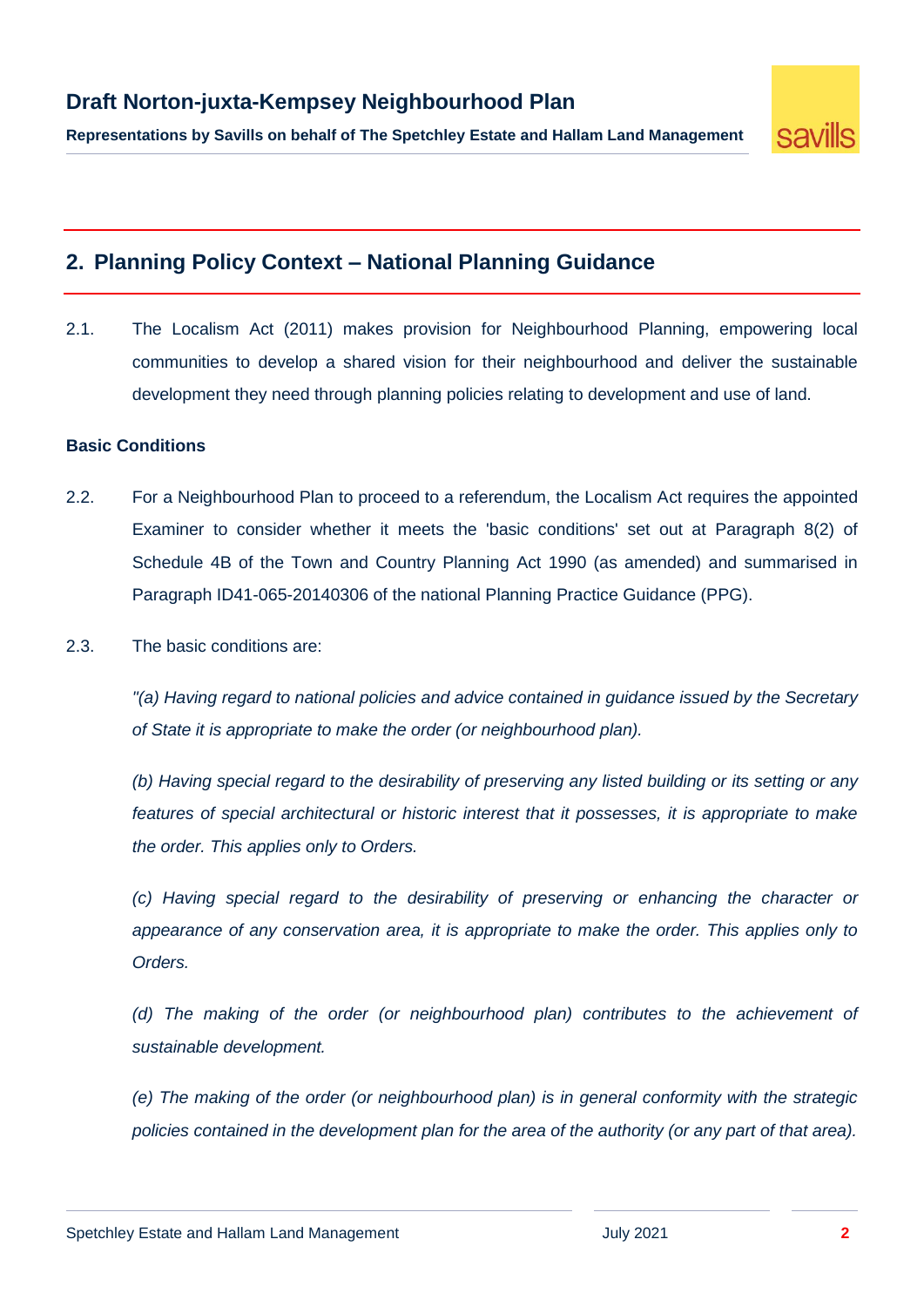

## **2. Planning Policy Context – National Planning Guidance**

2.1. The Localism Act (2011) makes provision for Neighbourhood Planning, empowering local communities to develop a shared vision for their neighbourhood and deliver the sustainable development they need through planning policies relating to development and use of land.

#### **Basic Conditions**

- 2.2. For a Neighbourhood Plan to proceed to a referendum, the Localism Act requires the appointed Examiner to consider whether it meets the 'basic conditions' set out at Paragraph 8(2) of Schedule 4B of the Town and Country Planning Act 1990 (as amended) and summarised in Paragraph ID41-065-20140306 of the national Planning Practice Guidance (PPG).
- 2.3. The basic conditions are:

*"(a) Having regard to national policies and advice contained in guidance issued by the Secretary of State it is appropriate to make the order (or neighbourhood plan).*

*(b) Having special regard to the desirability of preserving any listed building or its setting or any features of special architectural or historic interest that it possesses, it is appropriate to make the order. This applies only to Orders.*

*(c) Having special regard to the desirability of preserving or enhancing the character or appearance of any conservation area, it is appropriate to make the order. This applies only to Orders.*

*(d) The making of the order (or neighbourhood plan) contributes to the achievement of sustainable development.*

*(e) The making of the order (or neighbourhood plan) is in general conformity with the strategic policies contained in the development plan for the area of the authority (or any part of that area).*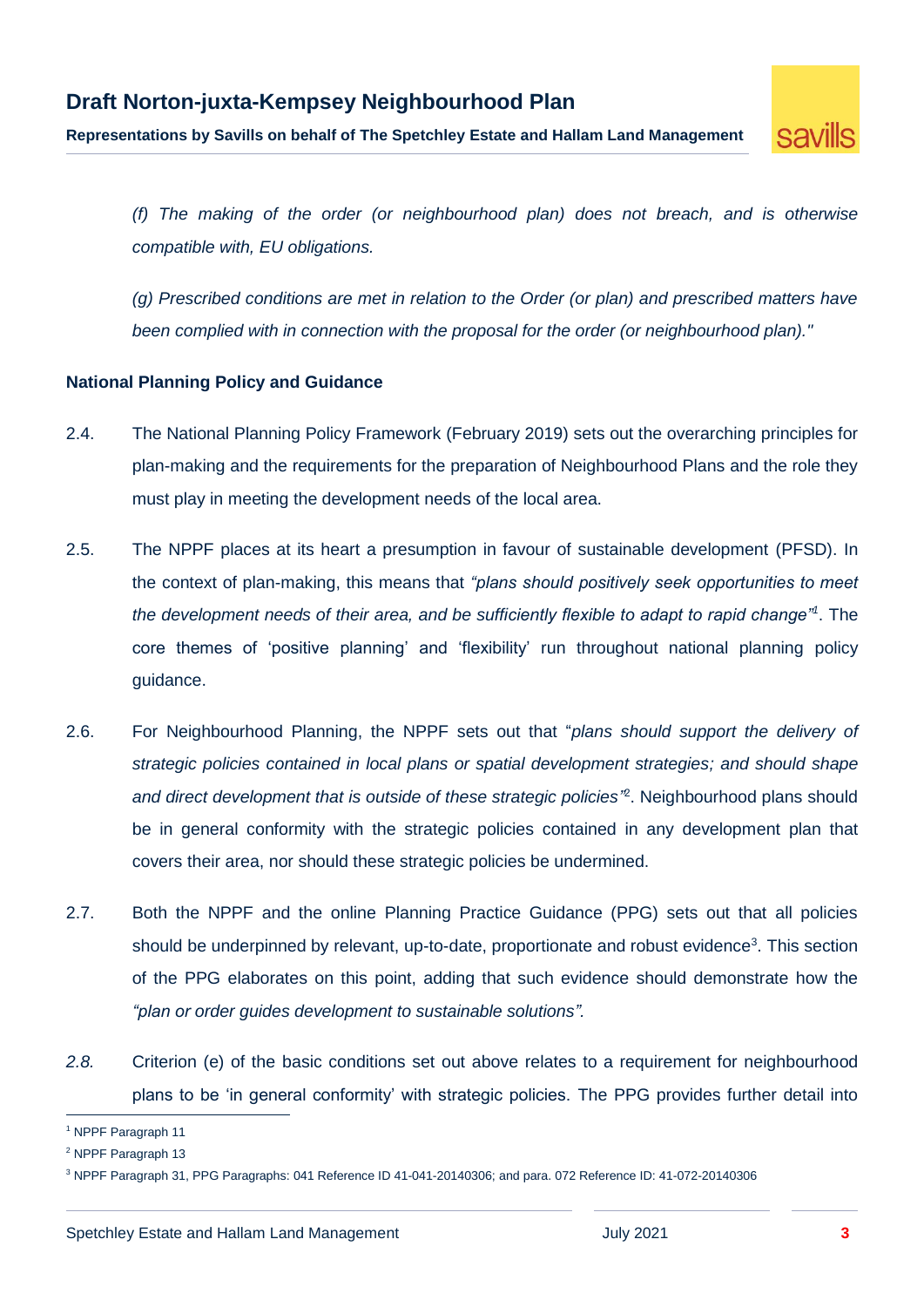## **Draft Norton-juxta-Kempsey Neighbourhood Plan**

**Representations by Savills on behalf of The Spetchley Estate and Hallam Land Management**



*(f) The making of the order (or neighbourhood plan) does not breach, and is otherwise compatible with, EU obligations.*

*(g) Prescribed conditions are met in relation to the Order (or plan) and prescribed matters have been complied with in connection with the proposal for the order (or neighbourhood plan)."*

### **National Planning Policy and Guidance**

- 2.4. The National Planning Policy Framework (February 2019) sets out the overarching principles for plan-making and the requirements for the preparation of Neighbourhood Plans and the role they must play in meeting the development needs of the local area.
- 2.5. The NPPF places at its heart a presumption in favour of sustainable development (PFSD). In the context of plan-making, this means that *"plans should positively seek opportunities to meet the development needs of their area, and be sufficiently flexible to adapt to rapid change"<sup>1</sup>* . The core themes of 'positive planning' and 'flexibility' run throughout national planning policy guidance.
- 2.6. For Neighbourhood Planning, the NPPF sets out that "*plans should support the delivery of strategic policies contained in local plans or spatial development strategies; and should shape*  and direct development that is outside of these strategic policies<sup>"2</sup>. Neighbourhood plans should be in general conformity with the strategic policies contained in any development plan that covers their area, nor should these strategic policies be undermined.
- 2.7. Both the NPPF and the online Planning Practice Guidance (PPG) sets out that all policies should be underpinned by relevant, up-to-date, proportionate and robust evidence<sup>3</sup>. This section of the PPG elaborates on this point, adding that such evidence should demonstrate how the *"plan or order guides development to sustainable solutions".*
- *2.8.* Criterion (e) of the basic conditions set out above relates to a requirement for neighbourhood plans to be 'in general conformity' with strategic policies. The PPG provides further detail into

 $\overline{a}$ 

<sup>1</sup> NPPF Paragraph 11

<sup>2</sup> NPPF Paragraph 13

<sup>3</sup> NPPF Paragraph 31, PPG Paragraphs: 041 Reference ID 41-041-20140306; and para. 072 Reference ID: 41-072-20140306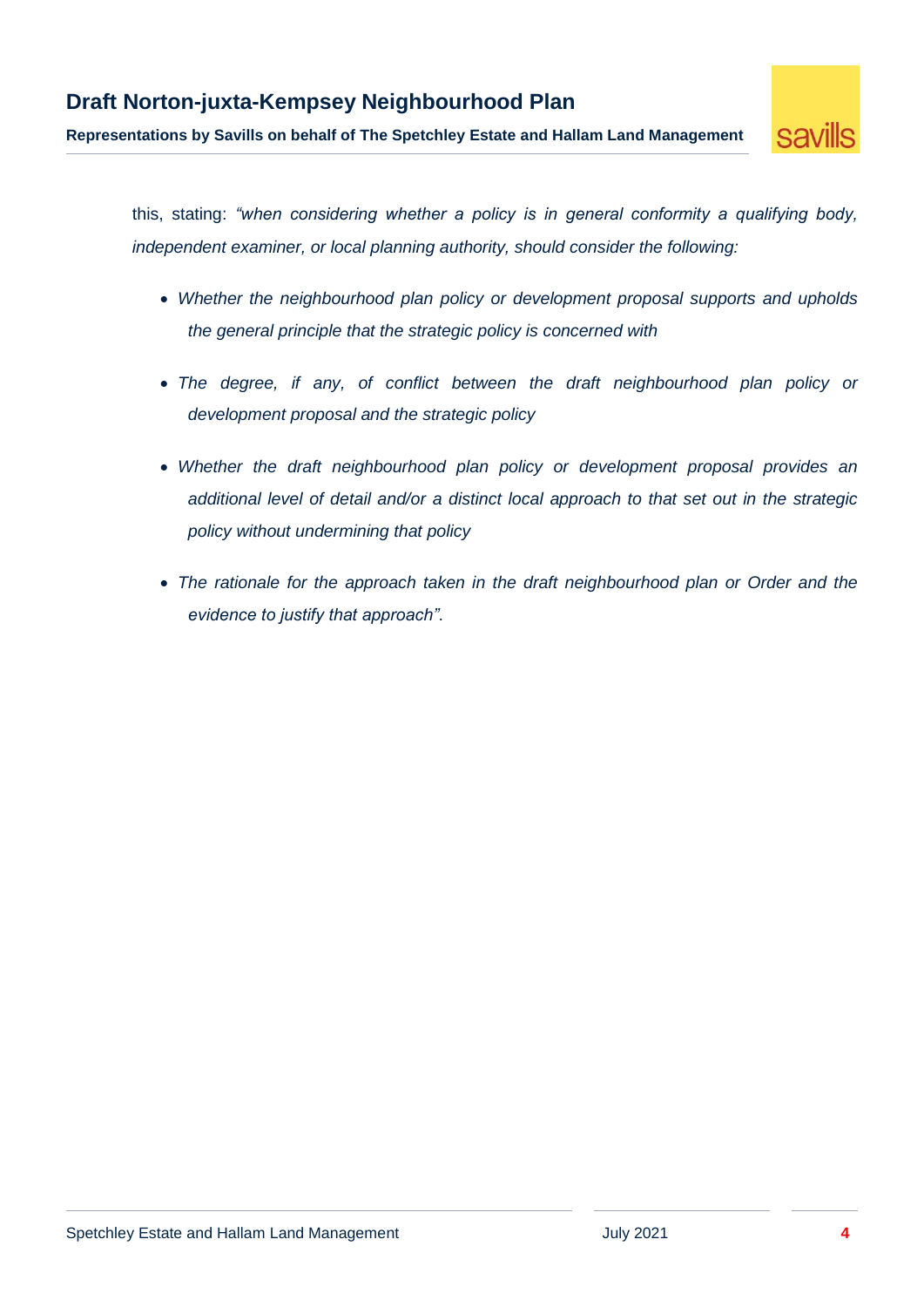**SAVILS** 

**Representations by Savills on behalf of The Spetchley Estate and Hallam Land Management**

this, stating: *"when considering whether a policy is in general conformity a qualifying body, independent examiner, or local planning authority, should consider the following:*

- *Whether the neighbourhood plan policy or development proposal supports and upholds the general principle that the strategic policy is concerned with*
- The degree, if any, of conflict between the draft neighbourhood plan policy or *development proposal and the strategic policy*
- *Whether the draft neighbourhood plan policy or development proposal provides an additional level of detail and/or a distinct local approach to that set out in the strategic policy without undermining that policy*
- *The rationale for the approach taken in the draft neighbourhood plan or Order and the evidence to justify that approach"*.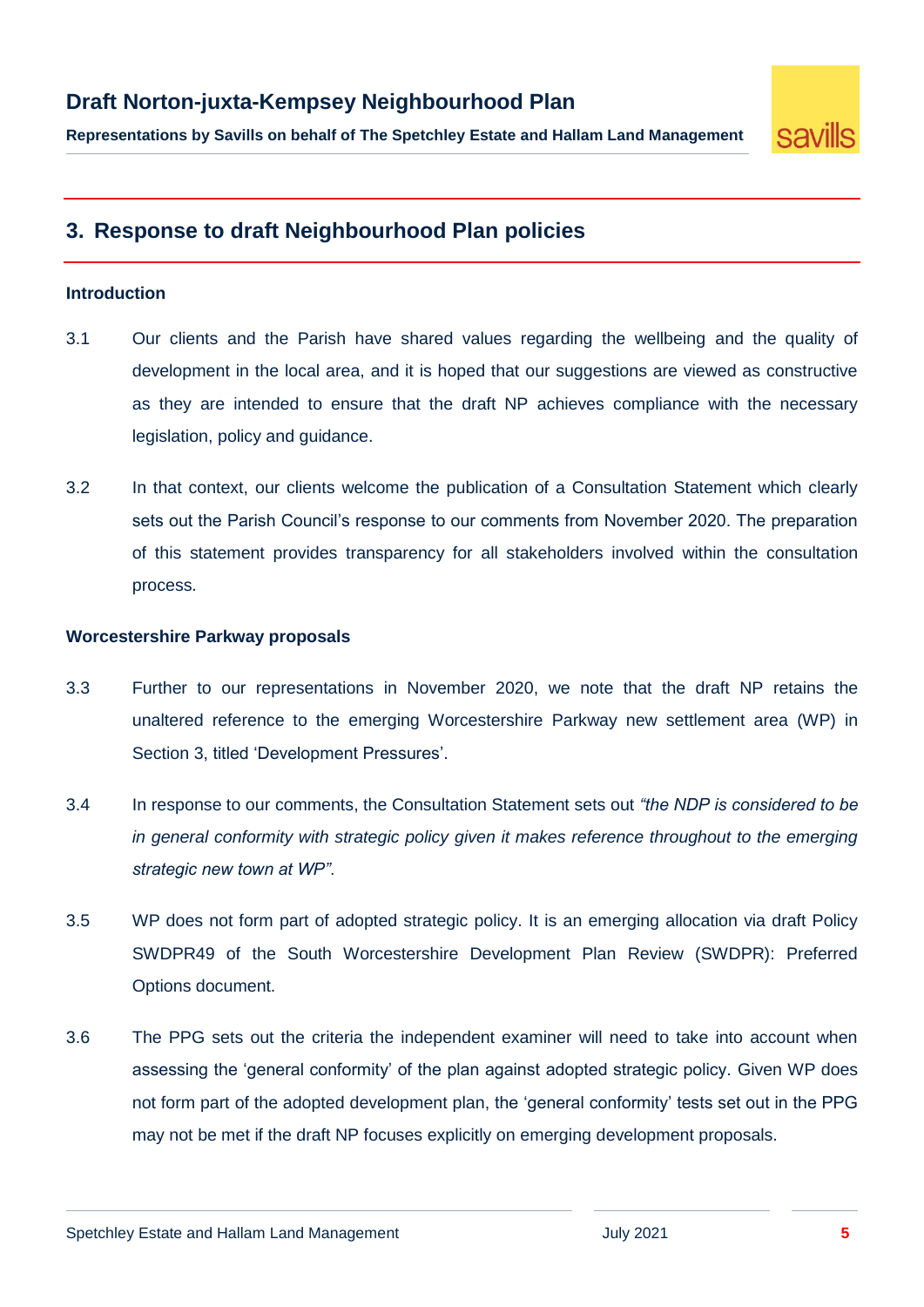

## **3. Response to draft Neighbourhood Plan policies**

#### **Introduction**

- 3.1 Our clients and the Parish have shared values regarding the wellbeing and the quality of development in the local area, and it is hoped that our suggestions are viewed as constructive as they are intended to ensure that the draft NP achieves compliance with the necessary legislation, policy and guidance.
- 3.2 In that context, our clients welcome the publication of a Consultation Statement which clearly sets out the Parish Council's response to our comments from November 2020. The preparation of this statement provides transparency for all stakeholders involved within the consultation process.

#### **Worcestershire Parkway proposals**

- 3.3 Further to our representations in November 2020, we note that the draft NP retains the unaltered reference to the emerging Worcestershire Parkway new settlement area (WP) in Section 3, titled 'Development Pressures'.
- 3.4 In response to our comments, the Consultation Statement sets out *"the NDP is considered to be in general conformity with strategic policy given it makes reference throughout to the emerging strategic new town at WP"*.
- 3.5 WP does not form part of adopted strategic policy. It is an emerging allocation via draft Policy SWDPR49 of the South Worcestershire Development Plan Review (SWDPR): Preferred Options document.
- 3.6 The PPG sets out the criteria the independent examiner will need to take into account when assessing the 'general conformity' of the plan against adopted strategic policy. Given WP does not form part of the adopted development plan, the 'general conformity' tests set out in the PPG may not be met if the draft NP focuses explicitly on emerging development proposals.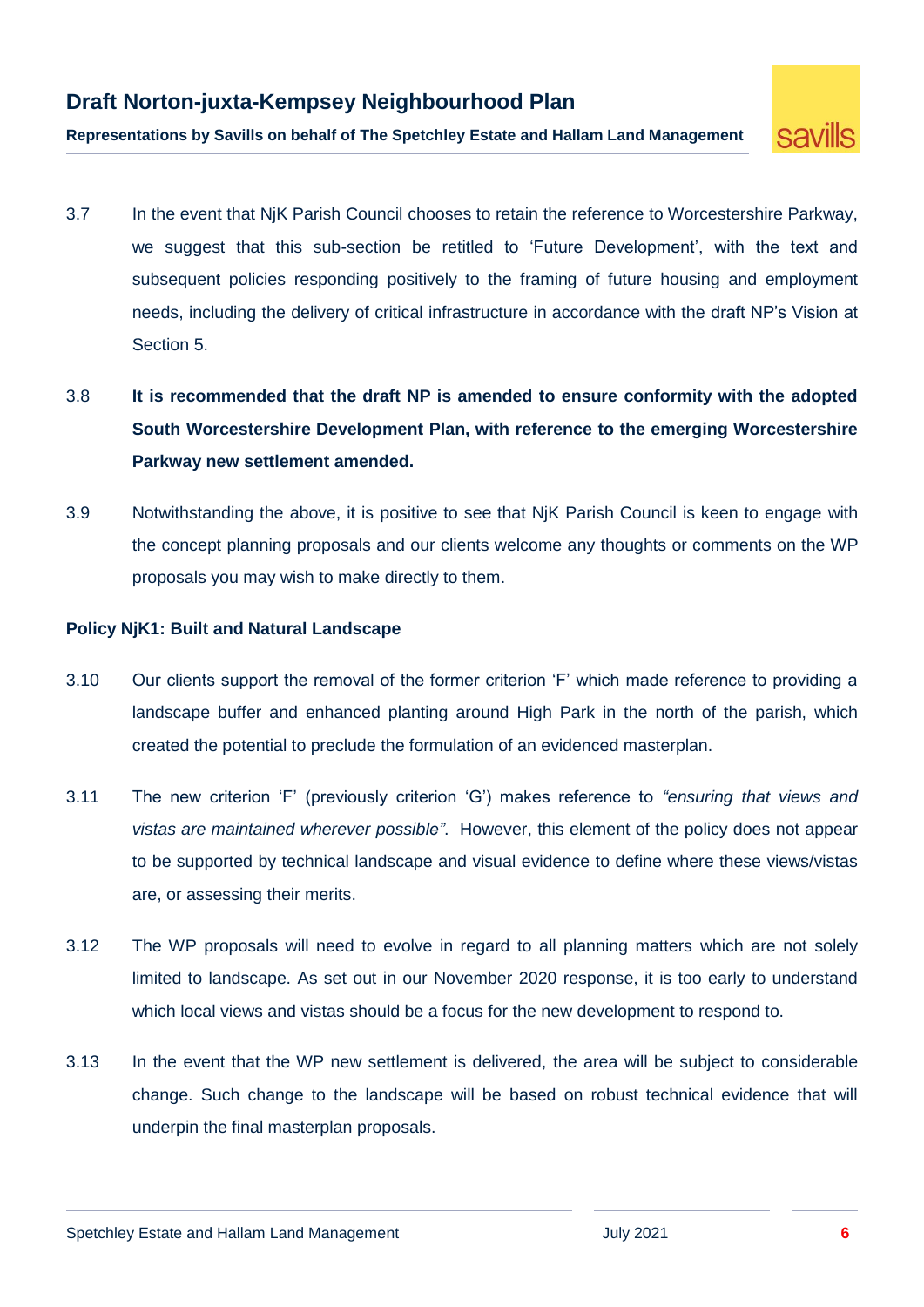## **Draft Norton-juxta-Kempsey Neighbourhood Plan**

savills

**Representations by Savills on behalf of The Spetchley Estate and Hallam Land Management**

- 3.7 In the event that NjK Parish Council chooses to retain the reference to Worcestershire Parkway, we suggest that this sub-section be retitled to 'Future Development', with the text and subsequent policies responding positively to the framing of future housing and employment needs, including the delivery of critical infrastructure in accordance with the draft NP's Vision at Section 5.
- 3.8 **It is recommended that the draft NP is amended to ensure conformity with the adopted South Worcestershire Development Plan, with reference to the emerging Worcestershire Parkway new settlement amended.**
- 3.9 Notwithstanding the above, it is positive to see that NjK Parish Council is keen to engage with the concept planning proposals and our clients welcome any thoughts or comments on the WP proposals you may wish to make directly to them.

### **Policy NjK1: Built and Natural Landscape**

- 3.10 Our clients support the removal of the former criterion 'F' which made reference to providing a landscape buffer and enhanced planting around High Park in the north of the parish, which created the potential to preclude the formulation of an evidenced masterplan.
- 3.11 The new criterion 'F' (previously criterion 'G') makes reference to *"ensuring that views and vistas are maintained wherever possible"*. However, this element of the policy does not appear to be supported by technical landscape and visual evidence to define where these views/vistas are, or assessing their merits.
- 3.12 The WP proposals will need to evolve in regard to all planning matters which are not solely limited to landscape. As set out in our November 2020 response, it is too early to understand which local views and vistas should be a focus for the new development to respond to.
- 3.13 In the event that the WP new settlement is delivered, the area will be subject to considerable change. Such change to the landscape will be based on robust technical evidence that will underpin the final masterplan proposals.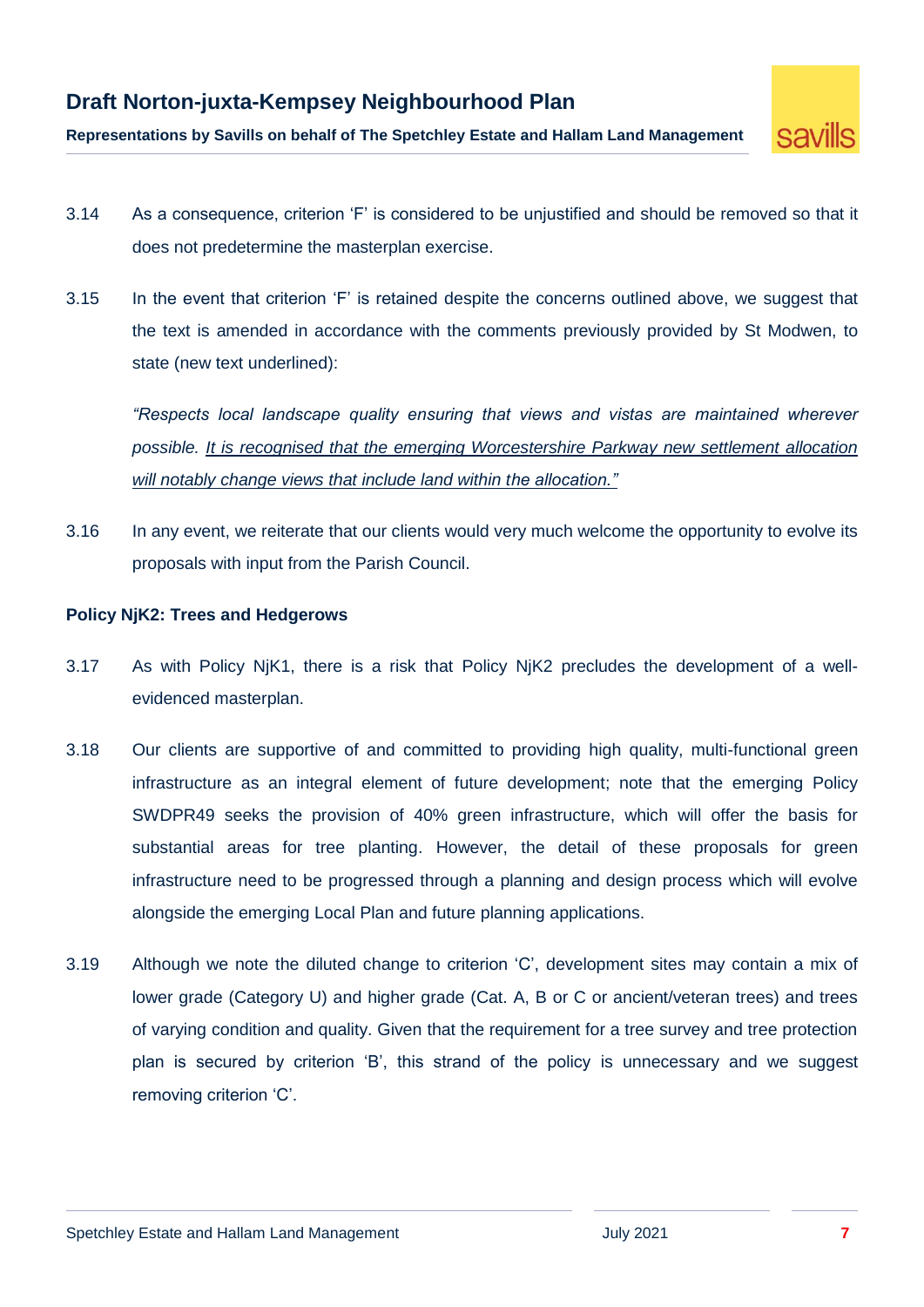

- 3.14 As a consequence, criterion 'F' is considered to be unjustified and should be removed so that it does not predetermine the masterplan exercise.
- 3.15 In the event that criterion 'F' is retained despite the concerns outlined above, we suggest that the text is amended in accordance with the comments previously provided by St Modwen, to state (new text underlined):

*"Respects local landscape quality ensuring that views and vistas are maintained wherever possible. It is recognised that the emerging Worcestershire Parkway new settlement allocation will notably change views that include land within the allocation."*

3.16 In any event, we reiterate that our clients would very much welcome the opportunity to evolve its proposals with input from the Parish Council.

### **Policy NjK2: Trees and Hedgerows**

- 3.17 As with Policy NjK1, there is a risk that Policy NjK2 precludes the development of a wellevidenced masterplan.
- 3.18 Our clients are supportive of and committed to providing high quality, multi-functional green infrastructure as an integral element of future development; note that the emerging Policy SWDPR49 seeks the provision of 40% green infrastructure, which will offer the basis for substantial areas for tree planting. However, the detail of these proposals for green infrastructure need to be progressed through a planning and design process which will evolve alongside the emerging Local Plan and future planning applications.
- 3.19 Although we note the diluted change to criterion 'C', development sites may contain a mix of lower grade (Category U) and higher grade (Cat. A, B or C or ancient/veteran trees) and trees of varying condition and quality. Given that the requirement for a tree survey and tree protection plan is secured by criterion 'B', this strand of the policy is unnecessary and we suggest removing criterion 'C'.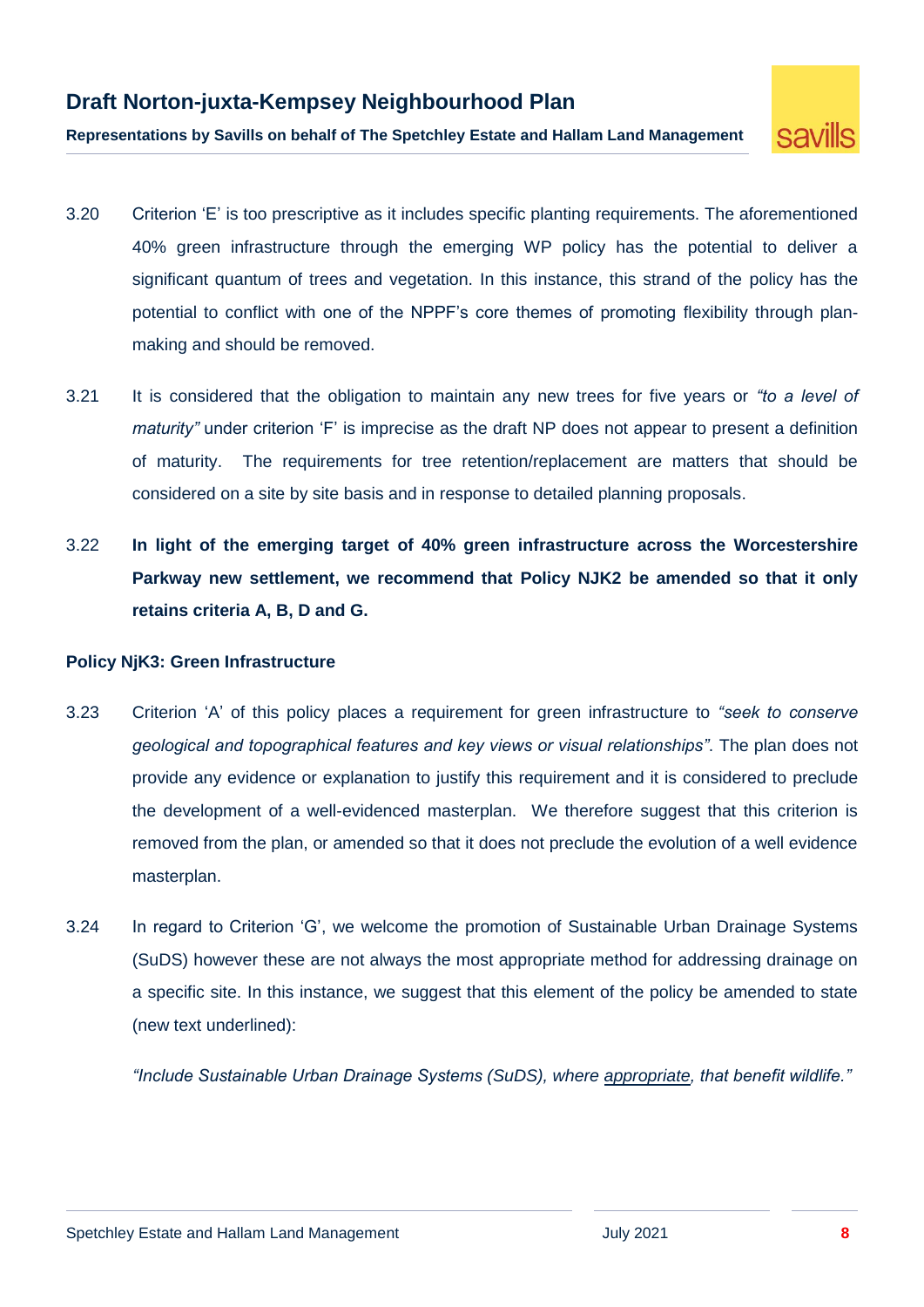## **Draft Norton-juxta-Kempsey Neighbourhood Plan**



**Representations by Savills on behalf of The Spetchley Estate and Hallam Land Management**

- 3.20 Criterion 'E' is too prescriptive as it includes specific planting requirements. The aforementioned 40% green infrastructure through the emerging WP policy has the potential to deliver a significant quantum of trees and vegetation. In this instance, this strand of the policy has the potential to conflict with one of the NPPF's core themes of promoting flexibility through planmaking and should be removed.
- 3.21 It is considered that the obligation to maintain any new trees for five years or *"to a level of maturity"* under criterion 'F' is imprecise as the draft NP does not appear to present a definition of maturity. The requirements for tree retention/replacement are matters that should be considered on a site by site basis and in response to detailed planning proposals.
- 3.22 **In light of the emerging target of 40% green infrastructure across the Worcestershire Parkway new settlement, we recommend that Policy NJK2 be amended so that it only retains criteria A, B, D and G.**

#### **Policy NjK3: Green Infrastructure**

- 3.23 Criterion 'A' of this policy places a requirement for green infrastructure to *"seek to conserve geological and topographical features and key views or visual relationships"*. The plan does not provide any evidence or explanation to justify this requirement and it is considered to preclude the development of a well-evidenced masterplan. We therefore suggest that this criterion is removed from the plan, or amended so that it does not preclude the evolution of a well evidence masterplan.
- 3.24 In regard to Criterion 'G', we welcome the promotion of Sustainable Urban Drainage Systems (SuDS) however these are not always the most appropriate method for addressing drainage on a specific site. In this instance, we suggest that this element of the policy be amended to state (new text underlined):

*"Include Sustainable Urban Drainage Systems (SuDS), where appropriate, that benefit wildlife."*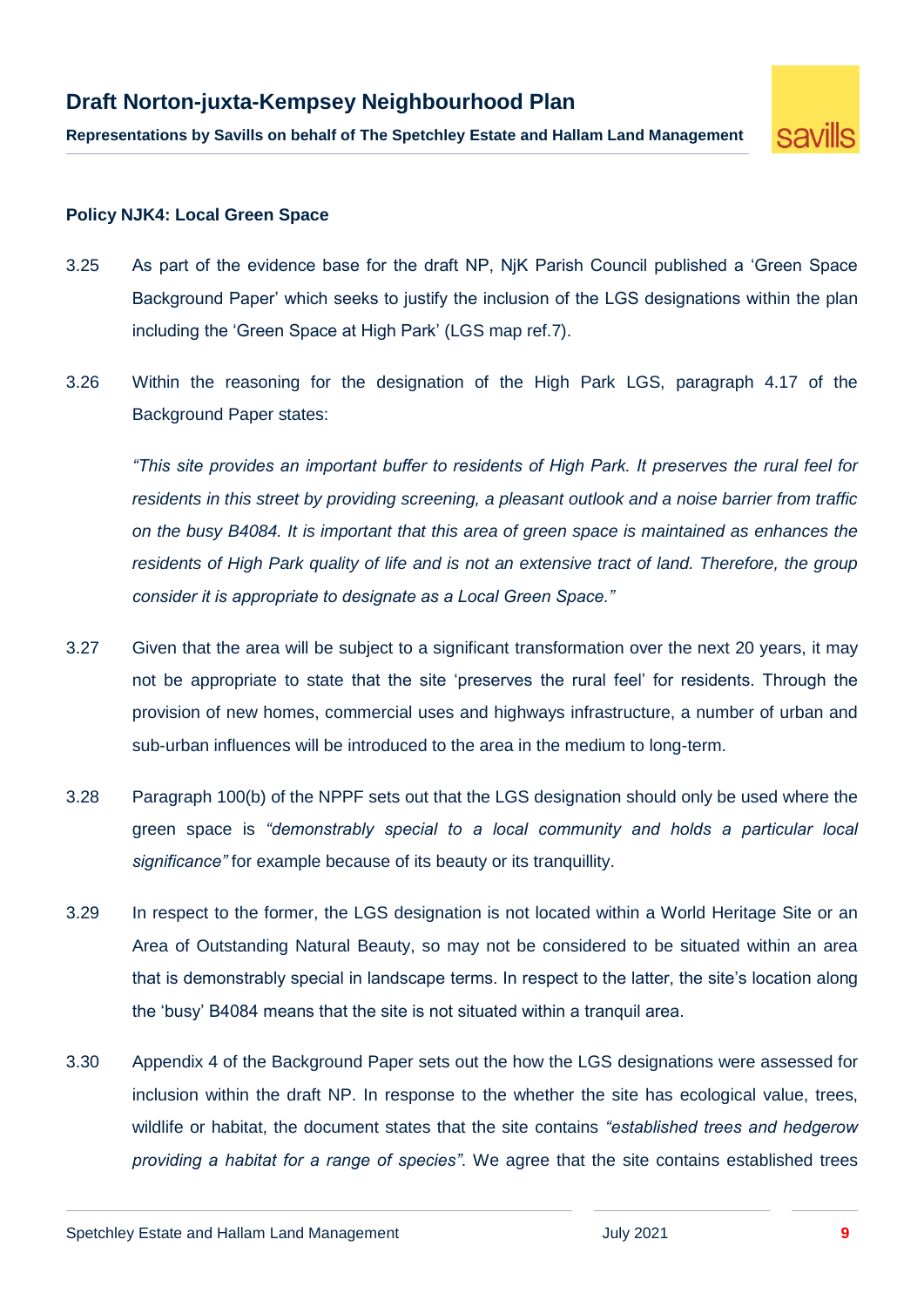

## **Policy NJK4: Local Green Space**

- 3.25 As part of the evidence base for the draft NP, NjK Parish Council published a 'Green Space Background Paper' which seeks to justify the inclusion of the LGS designations within the plan including the 'Green Space at High Park' (LGS map ref.7).
- 3.26 Within the reasoning for the designation of the High Park LGS, paragraph 4.17 of the Background Paper states:

*"This site provides an important buffer to residents of High Park. It preserves the rural feel for residents in this street by providing screening, a pleasant outlook and a noise barrier from traffic on the busy B4084. It is important that this area of green space is maintained as enhances the residents of High Park quality of life and is not an extensive tract of land. Therefore, the group consider it is appropriate to designate as a Local Green Space."*

- 3.27 Given that the area will be subject to a significant transformation over the next 20 years, it may not be appropriate to state that the site 'preserves the rural feel' for residents. Through the provision of new homes, commercial uses and highways infrastructure, a number of urban and sub-urban influences will be introduced to the area in the medium to long-term.
- 3.28 Paragraph 100(b) of the NPPF sets out that the LGS designation should only be used where the green space is *"demonstrably special to a local community and holds a particular local significance"* for example because of its beauty or its tranquillity.
- 3.29 In respect to the former, the LGS designation is not located within a World Heritage Site or an Area of Outstanding Natural Beauty, so may not be considered to be situated within an area that is demonstrably special in landscape terms. In respect to the latter, the site's location along the 'busy' B4084 means that the site is not situated within a tranquil area.
- 3.30 Appendix 4 of the Background Paper sets out the how the LGS designations were assessed for inclusion within the draft NP. In response to the whether the site has ecological value, trees, wildlife or habitat, the document states that the site contains *"established trees and hedgerow providing a habitat for a range of species"*. We agree that the site contains established trees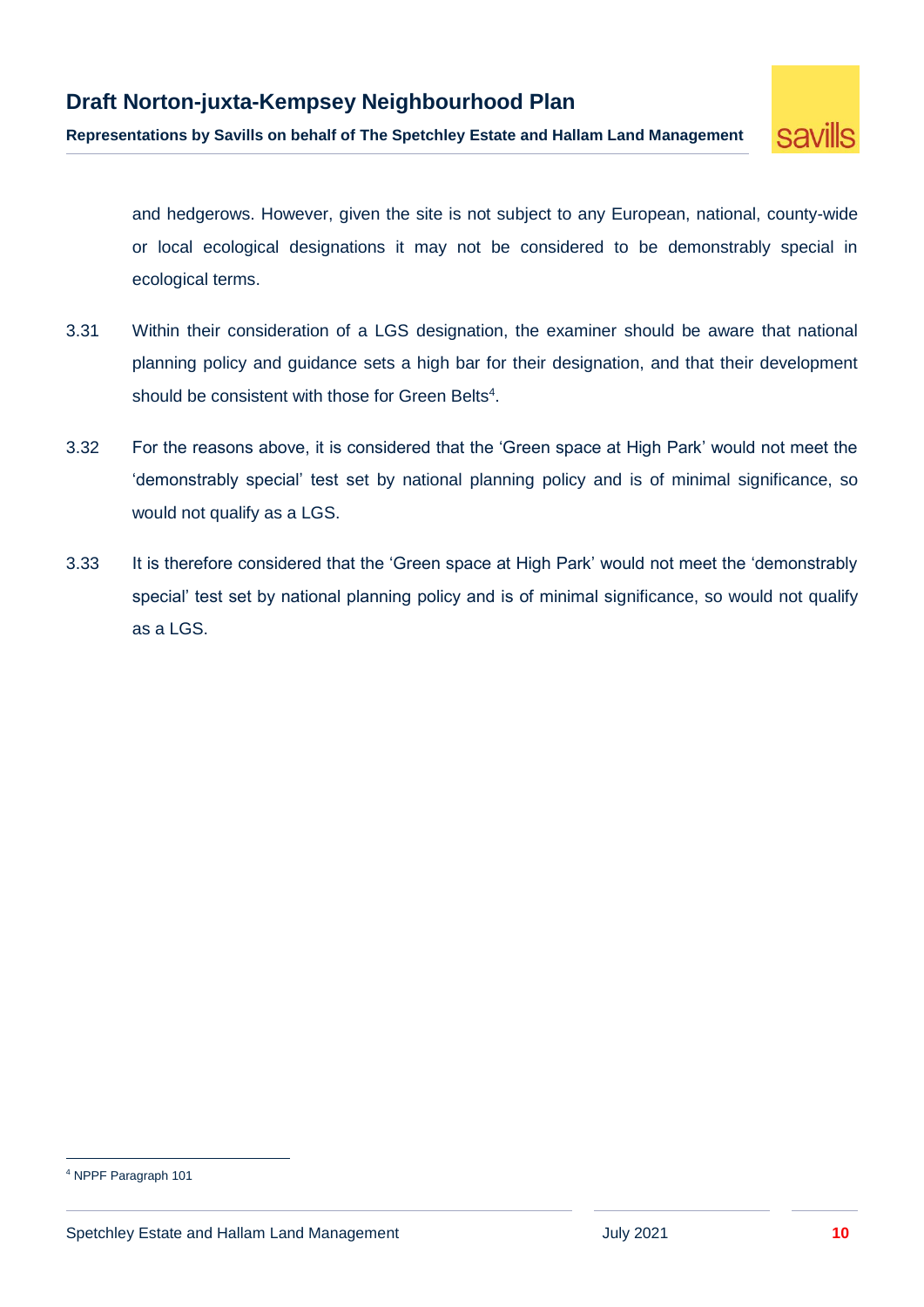

and hedgerows. However, given the site is not subject to any European, national, county-wide or local ecological designations it may not be considered to be demonstrably special in ecological terms.

- 3.31 Within their consideration of a LGS designation, the examiner should be aware that national planning policy and guidance sets a high bar for their designation, and that their development should be consistent with those for Green Belts<sup>4</sup>.
- 3.32 For the reasons above, it is considered that the 'Green space at High Park' would not meet the 'demonstrably special' test set by national planning policy and is of minimal significance, so would not qualify as a LGS.
- 3.33 It is therefore considered that the 'Green space at High Park' would not meet the 'demonstrably special' test set by national planning policy and is of minimal significance, so would not qualify as a LGS.

 $\overline{a}$ 

<sup>4</sup> NPPF Paragraph 101